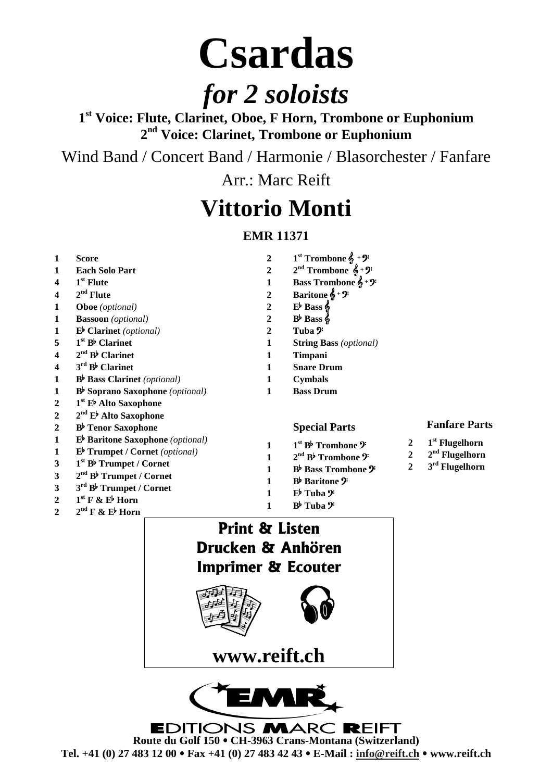

## *for 2 soloists*

**1 st Voice: Flute, Clarinet, Oboe, F Horn, Trombone or Euphonium 2 nd Voice: Clarinet, Trombone or Euphonium** 

Wind Band / Concert Band / Harmonie / Blasorchester / Fanfare

Arr.: Marc Reift

## **Vittorio Monti**

## **EMR 11371**

| 1            | <b>Score</b>                                             | $\mathbf{2}$   | $1st$ Trombone $\frac{\beta}{2}$ + $2s$                                         |              |
|--------------|----------------------------------------------------------|----------------|---------------------------------------------------------------------------------|--------------|
|              | <b>Each Solo Part</b>                                    | $\overline{2}$ | $2nd$ Trombone $\oint$ + $2i$                                                   |              |
| 4            | $1st$ Flute                                              | 1              | <b>Bass Trombone <math>\oint_{\mathbb{S}}</math> + <math>\mathcal{Y}</math></b> |              |
| 4            | $2nd$ Flute                                              | $\overline{2}$ | Baritone $\oint$ + $\hat{y}$                                                    |              |
| 1            | <b>Oboe</b> (optional)                                   | $\mathbf{2}$   | $E^{\flat}$ Bass $\&$                                                           |              |
| 1            | <b>Bassoon</b> (optional)                                | $\mathbf{2}$   | $B^{\flat}$ Bass $\&$                                                           |              |
| 1            | $E^{\flat}$ Clarinet (optional)                          | $\mathbf{2}$   | Tuba 9                                                                          |              |
| 5            | $1st$ B <sup>b</sup> Clarinet                            | 1              | <b>String Bass</b> (optional)                                                   |              |
| 4            | $2nd$ B <sup>b</sup> Clarinet                            | 1              | <b>Timpani</b>                                                                  |              |
| 4            | $3^{\text{rd}}$ B <sup>b</sup> Clarinet                  | 1              | <b>Snare Drum</b>                                                               |              |
| 1            | $B^{\flat}$ Bass Clarinet (optional)                     | 1              | <b>Cymbals</b>                                                                  |              |
| 1            | $B^{\flat}$ Soprano Saxophone (optional)                 | 1              | <b>Bass Drum</b>                                                                |              |
| $\mathbf{2}$ | 1 <sup>st</sup> E <sup>b</sup> Alto Saxophone            |                |                                                                                 |              |
| 2            | $2nd$ E <sup>b</sup> Alto Saxophone                      |                |                                                                                 |              |
| $\mathbf{2}$ | B <sup>b</sup> Tenor Saxophone                           |                | <b>Special Parts</b>                                                            |              |
| 1            | E <sup>b</sup> Baritone Saxophone (optional)             | $\mathbf{1}$   | $1st$ B <sup>b</sup> Trombone $2t$                                              | $\mathbf{2}$ |
| 1            | $E^{\flat}$ Trumpet / Cornet (optional)                  | 1              | $2^{\text{nd}}$ B <sup>b</sup> Trombone $2^{\text{nd}}$                         | 2            |
| 3            | $1st$ B <sup>b</sup> Trumpet / Cornet                    |                |                                                                                 | 2            |
| 3            | $2nd$ B <sup>b</sup> Trumpet / Cornet                    | 1              | $B^{\flat}$ Bass Trombone $2^{\circ}$                                           |              |
| 3            | $3rd$ B <sup>b</sup> Trumpet / Cornet                    | 1              | $B^{\flat}$ Baritone $\mathfrak{P}^{\sharp}$                                    |              |
| $\mathbf{2}$ | $1st$ F & E <sup>b</sup> Horn                            | 1              | $E^{\flat}$ Tuba $\mathcal{P}^{\sharp}$                                         |              |
|              | $\triangle$ nd m $\triangle$ m $\triangle$ m $\triangle$ | 1              | $B^{\flat}$ Tuba $\mathcal{Y}$                                                  |              |

**2 2 nd F & E Horn** 

- **2 1 st Flugelhorn** 
	- **2 2nd Flugelhorn**

 **Fanfare Parts**

**2 3rd Flugelhorn** 



**Route du Golf 150 CH-3963 Crans-Montana (Switzerland) Tel. +41 (0) 27 483 12 00 Fax +41 (0) 27 483 42 43 E-Mail : info@reift.ch www.reift.ch**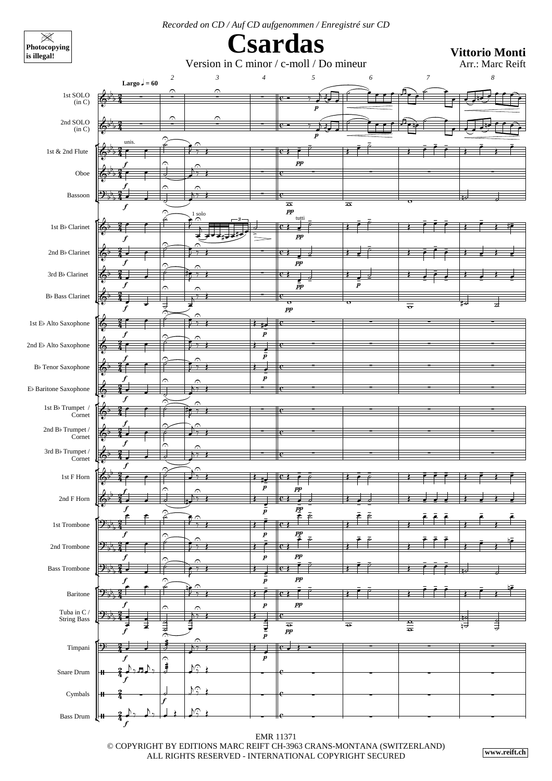

© COPYRIGHT BY EDITIONS MARC REIFT CH-3963 CRANS-MONTANA (SWITZERLAND) ALL RIGHTS RESERVED - INTERNATIONAL COPYRIGHT SECURED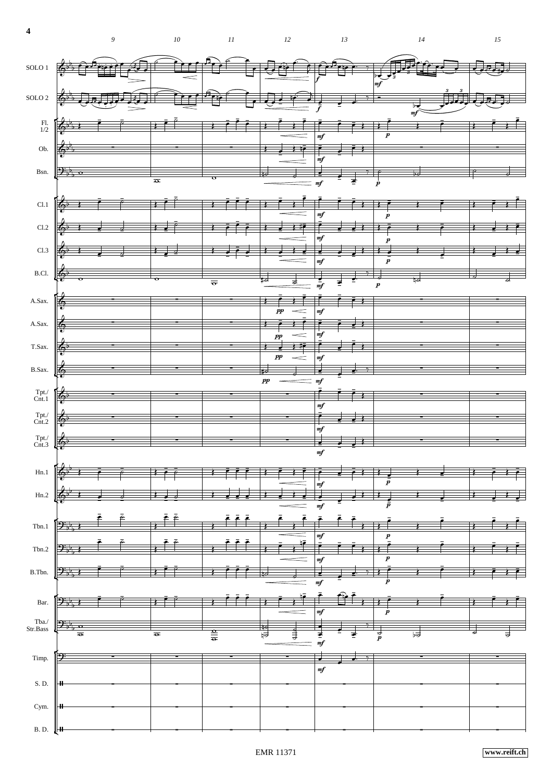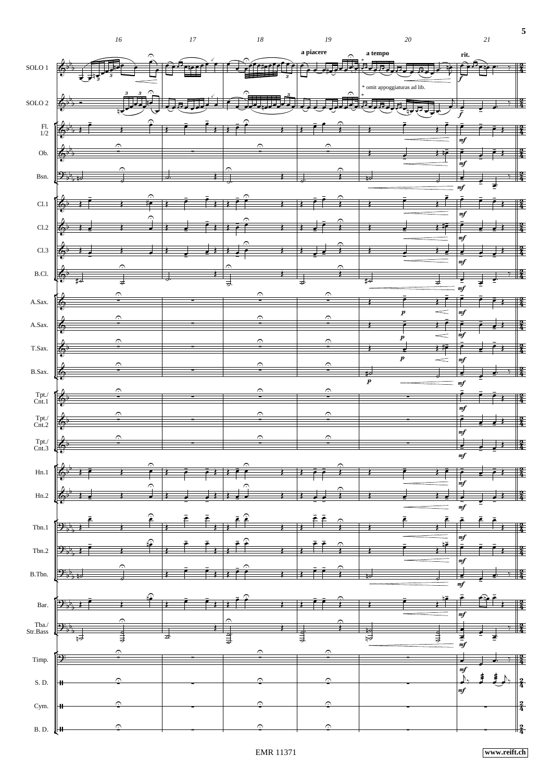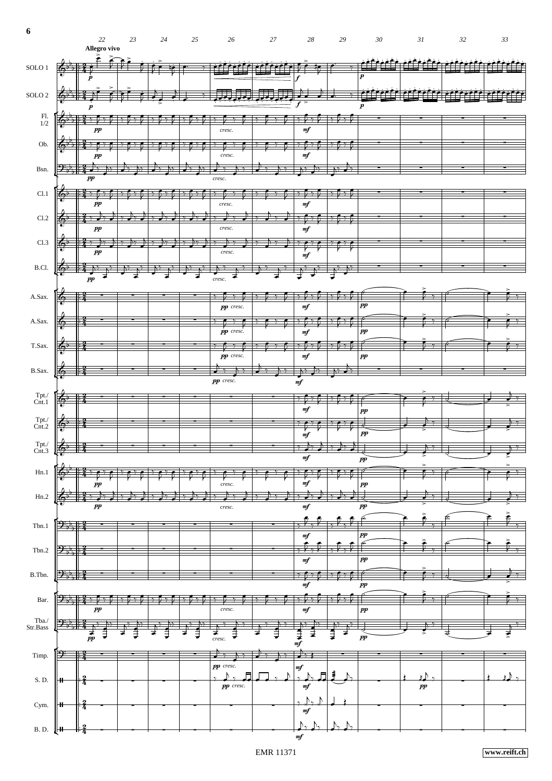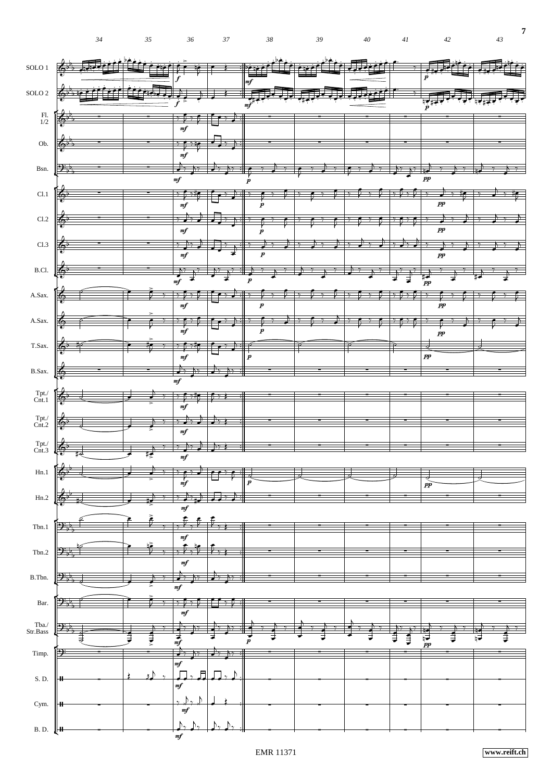

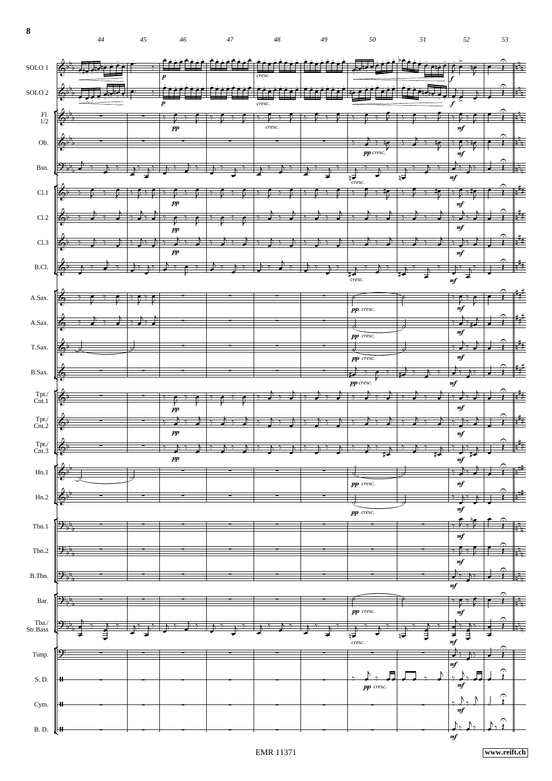

EMR 11371 **www.reift.ch**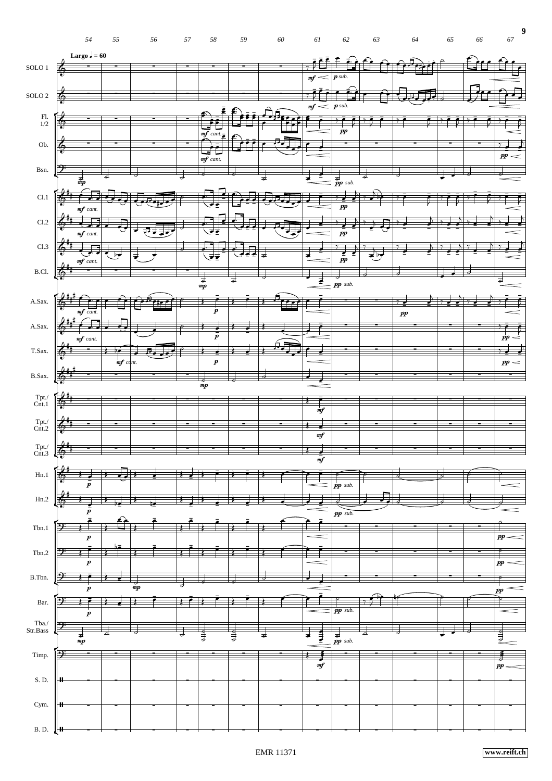